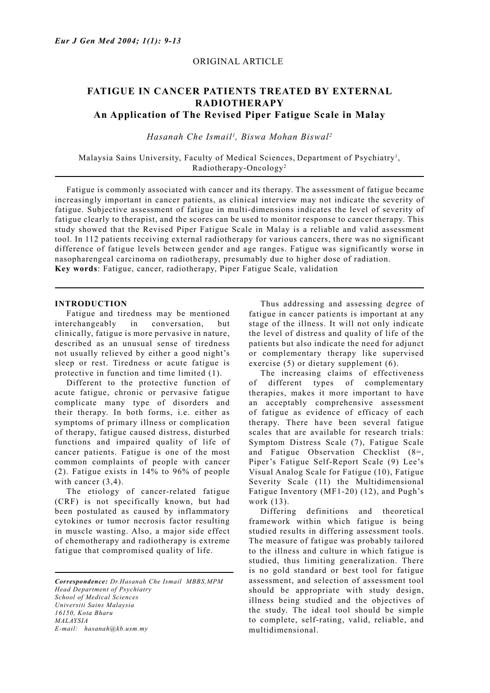## ORIGINAL ARTICLE

# **FATIGUE IN CANCER PATIENTS TREATED BY EXTERNAL RADIOTHERAPY An Application of The Revised Piper Fatigue Scale in Malay**

*Hasanah Che Ismail1 , Biswa Mohan Biswal2*

Malaysia Sains University, Faculty of Medical Sciences, Department of Psychiatry<sup>1</sup>, Radiotherapy-Oncology2

 Fatigue is commonly associated with cancer and its therapy. The assessment of fatigue became increasingly important in cancer patients, as clinical interview may not indicate the severity of fatigue. Subjective assessment of fatigue in multi-dimensions indicates the level of severity of fatigue clearly to therapist, and the scores can be used to monitor response to cancer therapy. This study showed that the Revised Piper Fatigue Scale in Malay is a reliable and valid assessment tool. In 112 patients receiving external radiotherapy for various cancers, there was no significant difference of fatigue levels between gender and age ranges. Fatigue was significantly worse in nasopharengeal carcinoma on radiotherapy, presumably due to higher dose of radiation. **Key words**: Fatigue, cancer, radiotherapy, Piper Fatigue Scale, validation

## **INTRODUCTION**

 Fatigue and tiredness may be mentioned interchangeably in conversation, but clinically, fatigue is more pervasive in nature, described as an unusual sense of tiredness not usually relieved by either a good night's sleep or rest. Tiredness or acute fatigue is protective in function and time limited (1).

 Different to the protective function of acute fatigue, chronic or pervasive fatigue complicate many type of disorders and their therapy. In both forms, i.e. either as symptoms of primary illness or complication of therapy, fatigue caused distress, disturbed functions and impaired quality of life of cancer patients. Fatigue is one of the most common complaints of people with cancer (2). Fatigue exists in 14% to 96% of people with cancer  $(3,4)$ .

 The etiology of cancer-related fatigue (CRF) is not specifically known, but had been postulated as caused by inflammatory cytokines or tumor necrosis factor resulting in muscle wasting. Also, a major side effect of chemotherapy and radiotherapy is extreme fatigue that compromised quality of life.

*Correspondence: Dr.Hasanah Che Ismail MBBS,MPM Head Department of Psychiatry School of Medical Sciences Universiti Sains Malaysia 16150, Kota Bharu MALAYSIA E-mail: hasanah@kb.usm.my*

 Thus addressing and assessing degree of fatigue in cancer patients is important at any stage of the illness. It will not only indicate the level of distress and quality of life of the patients but also indicate the need for adjunct or complementary therapy like supervised exercise (5) or dietary supplement (6).

 The increasing claims of effectiveness of different types of complementary therapies, makes it more important to have an acceptably comprehensive assessment of fatigue as evidence of efficacy of each therapy. There have been several fatigue scales that are available for research trials: Symptom Distress Scale (7), Fatigue Scale and Fatigue Observation Checklist (8=, Piper's Fatigue Self-Report Scale (9) Lee's Visual Analog Scale for Fatigue (10), Fatigue Severity Scale (11) the Multidimensional Fatigue Inventory (MF1-20) (12), and Pugh's work (13).

 Differing definitions and theoretical framework within which fatigue is being studied results in differing assessment tools. The measure of fatigue was probably tailored to the illness and culture in which fatigue is studied, thus limiting generalization. There is no gold standard or best tool for fatigue assessment, and selection of assessment tool should be appropriate with study design, illness being studied and the objectives of the study. The ideal tool should be simple to complete, self-rating, valid, reliable, and multidimensional.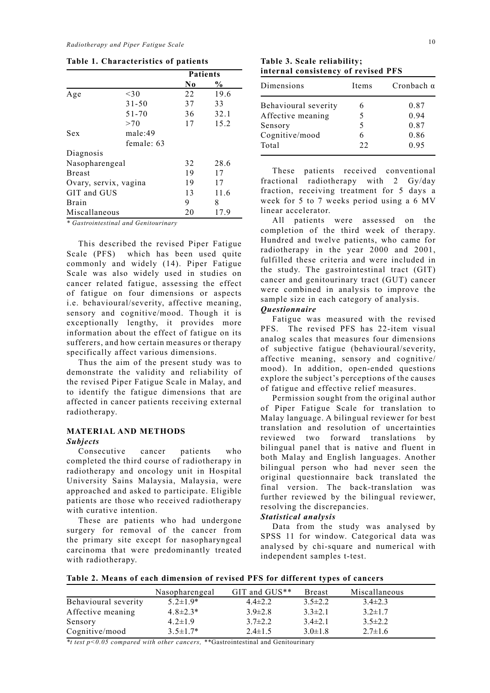**Table 1. Characteristics of patients**

|                       |              | <b>Patients</b> |      |
|-----------------------|--------------|-----------------|------|
|                       |              | N0              | $\%$ |
| Age                   | $<$ 30       | 22              | 19.6 |
|                       | $31 - 50$    | 37              | 33   |
|                       | $51 - 70$    | 36              | 32.1 |
|                       | >70          | 17              | 15.2 |
| Sex                   | male:49      |                 |      |
|                       | female: $63$ |                 |      |
| Diagnosis             |              |                 |      |
| Nasopharengeal        |              | 32              | 28.6 |
| <b>Breast</b>         |              | 19              | 17   |
| Ovary, servix, vagina |              | 19              | 17   |
| GIT and GUS           |              | 13              | 11.6 |
| <b>Brain</b>          |              | 9               | 8    |
| Miscallaneous         |              | 20              | 17.9 |

*\* Gastrointestinal and Genitourinary*

 This described the revised Piper Fatigue Scale (PFS) which has been used quite commonly and widely (14). Piper Fatigue Scale was also widely used in studies on cancer related fatigue, assessing the effect of fatigue on four dimensions or aspects i.e. behavioural/severity, affective meaning, sensory and cognitive/mood. Though it is exceptionally lengthy, it provides more information about the effect of fatigue on its sufferers, and how certain measures or therapy specifically affect various dimensions.

 Thus the aim of the present study was to demonstrate the validity and reliability of the revised Piper Fatigue Scale in Malay, and to identify the fatigue dimensions that are affected in cancer patients receiving external radiotherapy.

### **MATERIAL AND METHODS** *Subjects*

 Consecutive cancer patients who completed the third course of radiotherapy in radiotherapy and oncology unit in Hospital University Sains Malaysia, Malaysia, were approached and asked to participate. Eligible patients are those who received radiotherapy with curative intention.

 These are patients who had undergone surgery for removal of the cancer from the primary site except for nasopharyngeal carcinoma that were predominantly treated with radiotherapy.

**Table 3. Scale reliability; internal consistency of revised PFS**

| Dimensions           | Items | Cronbach $\alpha$ |
|----------------------|-------|-------------------|
| Behavioural severity | h     | 0.87              |
| Affective meaning    |       | 0.94              |
| Sensory              |       | 0.87              |
| Cognitive/mood       |       | 0.86              |
| Total                | 22    | 0.95              |

 These patients received conventional fractional radiotherapy with 2 Gy/day fraction, receiving treatment for 5 days a week for 5 to 7 weeks period using a 6 MV linear accelerator.

 All patients were assessed on the completion of the third week of therapy. Hundred and twelve patients, who came for radiotherapy in the year 2000 and 2001, fulfilled these criteria and were included in the study. The gastrointestinal tract (GIT) cancer and genitourinary tract (GUT) cancer were combined in analysis to improve the sample size in each category of analysis.

### *Questionnaire*

 Fatigue was measured with the revised PFS. The revised PFS has 22-item visual analog scales that measures four dimensions of subjective fatigue (behavioural/severity, affective meaning, sensory and cognitive/ mood). In addition, open-ended questions explore the subject's perceptions of the causes of fatigue and effective relief measures.

 Permission sought from the original author of Piper Fatigue Scale for translation to Malay language. A bilingual reviewer for best translation and resolution of uncertainties reviewed two forward translations by bilingual panel that is native and fluent in both Malay and English languages. Another bilingual person who had never seen the original questionnaire back translated the final version. The back-translation was further reviewed by the bilingual reviewer, resolving the discrepancies.

#### *Statistical analysis*

 Data from the study was analysed by SPSS 11 for window. Categorical data was analysed by chi-square and numerical with independent samples t-test.

 $\overline{a}$ **Table 2. Means of each dimension of revised PFS for different types of cancers**

|                      | Nasopharengeal  | GIT and GUS** | <b>Breast</b> | Miscallaneous |
|----------------------|-----------------|---------------|---------------|---------------|
| Behavioural severity | $5.2 \pm 1.9*$  | $4.4 \pm 2.2$ | $3.5 \pm 2.2$ | $3.4\pm2.3$   |
| Affective meaning    | $4.8 \pm 2.3*$  | $3.9 \pm 2.8$ | $3.3 \pm 2.1$ | $3.2 \pm 1.7$ |
| Sensory              | $4.2 \pm 1.9$   | $3.7\pm2.2$   | $3.4\pm2.1$   | $3.5 \pm 2.2$ |
| Cognitive/mood       | $3.5 \pm 1.7^*$ | $2.4 \pm 1.5$ | $3.0 \pm 1.8$ | $2.7\pm1.6$   |

*\*t test p<0.05 compared with other cancers, \*\**Gastrointestinal and Genitourinary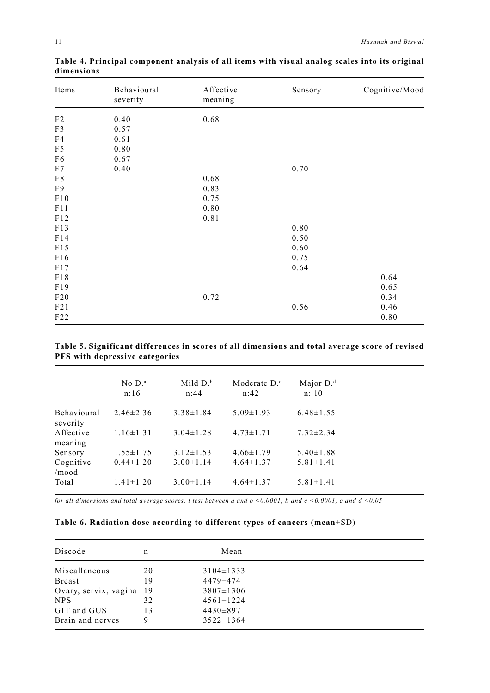| Items          | Behavioural<br>severity | Affective<br>meaning | Sensory | Cognitive/Mood |
|----------------|-------------------------|----------------------|---------|----------------|
| F2             | 0.40                    | 0.68                 |         |                |
| F3             | 0.57                    |                      |         |                |
| F4             | 0.61                    |                      |         |                |
| F <sub>5</sub> | 0.80                    |                      |         |                |
| F <sub>6</sub> | 0.67                    |                      |         |                |
| F7             | 0.40                    |                      | 0.70    |                |
| ${\rm F}8$     |                         | 0.68                 |         |                |
| F <sub>9</sub> |                         | 0.83                 |         |                |
| F10            |                         | 0.75                 |         |                |
| F11            |                         | 0.80                 |         |                |
| F12            |                         | 0.81                 |         |                |
| F13            |                         |                      | 0.80    |                |
| F14            |                         |                      | 0.50    |                |
| F15            |                         |                      | 0.60    |                |
| F16            |                         |                      | 0.75    |                |
| F17            |                         |                      | 0.64    |                |
| F18            |                         |                      |         | 0.64           |
| F19            |                         |                      |         | 0.65           |
| F20            |                         | 0.72                 |         | 0.34           |
| F21            |                         |                      | 0.56    | 0.46           |
| F22            |                         |                      |         | $0.80\,$       |

**Table 4. Principal component analysis of all items with visual analog scales into its original dimensions**

## **Table 5. Significant differences in scores of all dimensions and total average score of revised PFS with depressive categories**

|                                | No $D^a$<br>n:16 | Mild $D^b$<br>n:44 | Moderate $D^c$<br>n:42 | Major $D.d$<br>n: 10 |
|--------------------------------|------------------|--------------------|------------------------|----------------------|
| <b>Behavioural</b><br>severity | $2.46\pm2.36$    | $3.38 \pm 1.84$    | $5.09 \pm 1.93$        | $6.48 \pm 1.55$      |
| Affective<br>meaning           | $1.16 \pm 1.31$  | $3.04 \pm 1.28$    | $4.73 \pm 1.71$        | $7.32 \pm 2.34$      |
| Sensory                        | $1.55 \pm 1.75$  | $3.12 \pm 1.53$    | $4.66 \pm 1.79$        | $5.40 \pm 1.88$      |
| Cognitive<br>/mood             | $0.44 \pm 1.20$  | $3.00 \pm 1.14$    | $4.64 \pm 1.37$        | $5.81 \pm 1.41$      |
| Total                          | $1.41 \pm 1.20$  | $3.00 \pm 1.14$    | $4.64 \pm 1.37$        | $5.81 \pm 1.41$      |

*for all dimensions and total average scores; t test between a and b <0.0001, b and c <0.0001, c and d <0.05*

## **Table 6. Radiation dose according to different types of cancers (mean**±SD)

| Discode               | n   | Mean            |  |
|-----------------------|-----|-----------------|--|
| Miscallaneous         | 20  | $3104 \pm 1333$ |  |
| <b>Breast</b>         | 19  | $4479 \pm 474$  |  |
| Ovary, servix, vagina | -19 | $3807 \pm 1306$ |  |
| <b>NPS</b>            | 32  | $4561 \pm 1224$ |  |
| GIT and GUS           | 13  | $4430\pm897$    |  |
| Brain and nerves      | 9   | $3522 \pm 1364$ |  |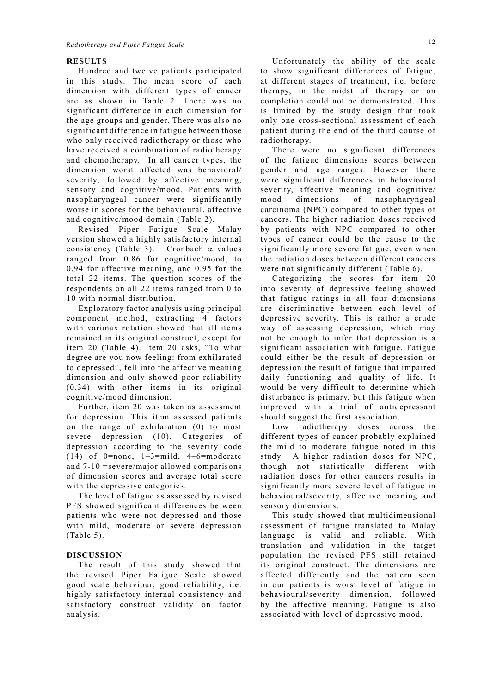#### **RESULTS**

 Hundred and twelve patients participated in this study. The mean score of each dimension with different types of cancer are as shown in Table 2. There was no significant difference in each dimension for the age groups and gender. There was also no significant difference in fatigue between those who only received radiotherapy or those who have received a combination of radiotherapy and chemotherapy. In all cancer types, the dimension worst affected was behavioral/ severity, followed by affective meaning, sensory and cognitive/mood. Patients with nasopharyngeal cancer were significantly worse in scores for the behavioural, affective and cognitive/mood domain (Table 2).

 Revised Piper Fatigue Scale Malay version showed a highly satisfactory internal consistency (Table 3). Cronbach α values ranged from 0.86 for cognitive/mood, to 0.94 for affective meaning, and 0.95 for the total 22 items. The question scores of the respondents on all 22 items ranged from 0 to 10 with normal distribution.

 Exploratory factor analysis using principal component method, extracting 4 factors with varimax rotation showed that all items remained in its original construct, except for item 20 (Table 4). Item 20 asks, "To what degree are you now feeling: from exhilarated to depressed", fell into the affective meaning dimension and only showed poor reliability (0.34) with other items in its original cognitive/mood dimension.

 Further, item 20 was taken as assessment for depression. This item assessed patients on the range of exhilaration (0) to most severe depression (10). Categories of depression according to the severity code (14) of  $0$ =none,  $1-3$ =mild,  $4-6$ =moderate and 7-10 =severe/major allowed comparisons of dimension scores and average total score with the depressive categories.

 The level of fatigue as assessed by revised PFS showed significant differences between patients who were not depressed and those with mild, moderate or severe depression (Table 5).

#### **DISCUSSION**

 The result of this study showed that the revised Piper Fatigue Scale showed good scale behaviour, good reliability, i.e. highly satisfactory internal consistency and satisfactory construct validity on factor analysis.

 Unfortunately the ability of the scale to show significant differences of fatigue, at different stages of treatment, i.e. before therapy, in the midst of therapy or on completion could not be demonstrated. This is limited by the study design that took only one cross-sectional assessment of each patient during the end of the third course of radiotherapy.

 There were no significant differences of the fatigue dimensions scores between gender and age ranges. However there were significant differences in behavioural severity, affective meaning and cognitive/ mood dimensions of nasopharyngeal carcinoma (NPC) compared to other types of cancers. The higher radiation doses received by patients with NPC compared to other types of cancer could be the cause to the significantly more severe fatigue, even when the radiation doses between different cancers were not significantly different (Table 6).

 Categorizing the scores for item 20 into severity of depressive feeling showed that fatigue ratings in all four dimensions are discriminative between each level of depressive severity. This is rather a crude way of assessing depression, which may not be enough to infer that depression is a significant association with fatigue. Fatigue could either be the result of depression or depression the result of fatigue that impaired daily functioning and quality of life. It would be very difficult to determine which disturbance is primary, but this fatigue when improved with a trial of antidepressant should suggest the first association.

 Low radiotherapy doses across the different types of cancer probably explained the mild to moderate fatigue noted in this study. A higher radiation doses for NPC, though not statistically different with radiation doses for other cancers results in significantly more severe level of fatigue in behavioural/severity, affective meaning and sensory dimensions.

 This study showed that multidimensional assessment of fatigue translated to Malay language is valid and reliable. With translation and validation in the target population the revised PFS still retained its original construct. The dimensions are affected differently and the pattern seen in our patients is worst level of fatigue in behavioural/severity dimension, followed by the affective meaning. Fatigue is also associated with level of depressive mood.